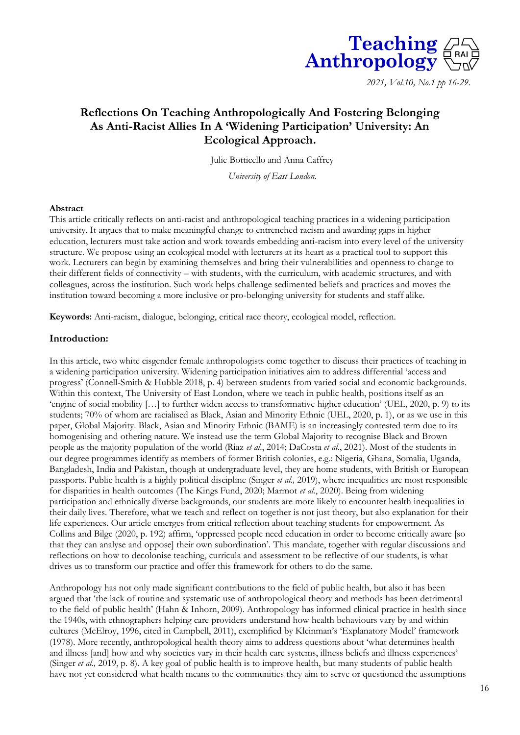

*2021, Vol.10, No.1 pp 16-29.* 

# **Reflections On Teaching Anthropologically And Fostering Belonging As Anti-Racist Allies In A 'Widening Participation' University: An Ecological Approach.**

Julie Botticello and Anna Caffrey

*University of East London.*

#### **Abstract**

This article critically reflects on anti-racist and anthropological teaching practices in a widening participation university. It argues that to make meaningful change to entrenched racism and awarding gaps in higher education, lecturers must take action and work towards embedding anti-racism into every level of the university structure. We propose using an ecological model with lecturers at its heart as a practical tool to support this work. Lecturers can begin by examining themselves and bring their vulnerabilities and openness to change to their different fields of connectivity – with students, with the curriculum, with academic structures, and with colleagues, across the institution. Such work helps challenge sedimented beliefs and practices and moves the institution toward becoming a more inclusive or pro-belonging university for students and staff alike.

**Keywords:** Anti-racism, dialogue, belonging, critical race theory, ecological model, reflection.

### **Introduction:**

In this article, two white cisgender female anthropologists come together to discuss their practices of teaching in a widening participation university. Widening participation initiatives aim to address differential 'access and progress' (Connell-Smith & Hubble 2018, p. 4) between students from varied social and economic backgrounds. Within this context, The University of East London, where we teach in public health, positions itself as an 'engine of social mobility […] to further widen access to transformative higher education' (UEL, 2020, p. 9) to its students; 70% of whom are racialised as Black, Asian and Minority Ethnic (UEL, 2020, p. 1), or as we use in this paper, Global Majority. Black, Asian and Minority Ethnic (BAME) is an increasingly contested term due to its homogenising and othering nature. We instead use the term Global Majority to recognise Black and Brown people as the majority population of the world (Riaz *et al*., 2014; DaCosta *et al*., 2021). Most of the students in our degree programmes identify as members of former British colonies, e.g.: Nigeria, Ghana, Somalia, Uganda, Bangladesh, India and Pakistan, though at undergraduate level, they are home students, with British or European passports. Public health is a highly political discipline (Singer *et al.,* 2019), where inequalities are most responsible for disparities in health outcomes (The Kings Fund, 2020; Marmot *et al.*, 2020). Being from widening participation and ethnically diverse backgrounds, our students are more likely to encounter health inequalities in their daily lives. Therefore, what we teach and reflect on together is not just theory, but also explanation for their life experiences. Our article emerges from critical reflection about teaching students for empowerment. As Collins and Bilge (2020, p. 192) affirm, 'oppressed people need education in order to become critically aware [so that they can analyse and oppose] their own subordination'. This mandate, together with regular discussions and reflections on how to decolonise teaching, curricula and assessment to be reflective of our students, is what drives us to transform our practice and offer this framework for others to do the same.

Anthropology has not only made significant contributions to the field of public health, but also it has been argued that 'the lack of routine and systematic use of anthropological theory and methods has been detrimental to the field of public health' (Hahn & Inhorn, 2009). Anthropology has informed clinical practice in health since the 1940s, with ethnographers helping care providers understand how health behaviours vary by and within cultures (McElroy, 1996, cited in Campbell, 2011), exemplified by Kleinman's 'Explanatory Model' framework (1978). More recently, anthropological health theory aims to address questions about 'what determines health and illness [and] how and why societies vary in their health care systems, illness beliefs and illness experiences' (Singer *et al.,* 2019, p. 8). A key goal of public health is to improve health, but many students of public health have not yet considered what health means to the communities they aim to serve or questioned the assumptions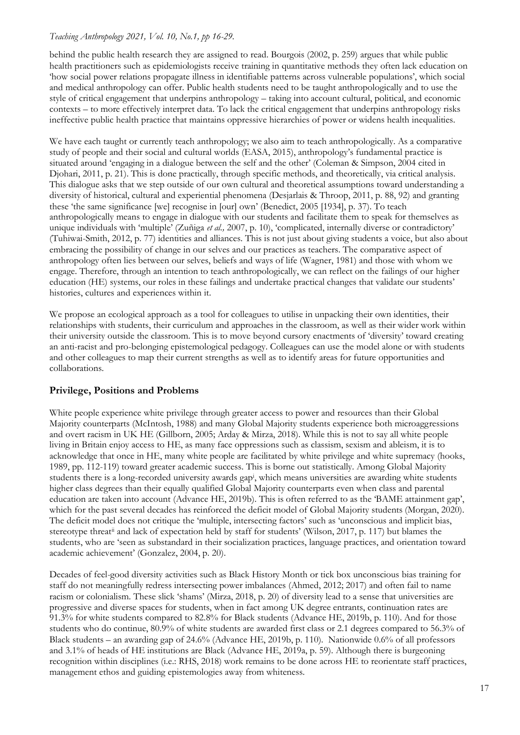behind the public health research they are assigned to read. Bourgois (2002, p. 259) argues that while public health practitioners such as epidemiologists receive training in quantitative methods they often lack education on 'how social power relations propagate illness in identifiable patterns across vulnerable populations', which social and medical anthropology can offer. Public health students need to be taught anthropologically and to use the style of critical engagement that underpins anthropology – taking into account cultural, political, and economic contexts – to more effectively interpret data. To lack the critical engagement that underpins anthropology risks ineffective public health practice that maintains oppressive hierarchies of power or widens health inequalities.

We have each taught or currently teach anthropology; we also aim to teach anthropologically. As a comparative study of people and their social and cultural worlds (EASA, 2015), anthropology's fundamental practice is situated around 'engaging in a dialogue between the self and the other' (Coleman & Simpson, 2004 cited in Djohari, 2011, p. 21). This is done practically, through specific methods, and theoretically, via critical analysis. This dialogue asks that we step outside of our own cultural and theoretical assumptions toward understanding a diversity of historical, cultural and experiential phenomena (Desjarlais & Throop, 2011, p. 88, 92) and granting these 'the same significance [we] recognise in [our] own' (Benedict, 2005 [1934], p. 37). To teach anthropologically means to engage in dialogue with our students and facilitate them to speak for themselves as unique individuals with 'multiple' (Zuñiga *et al.,* 2007, p. 10), 'complicated, internally diverse or contradictory' (Tuhiwai-Smith, 2012, p. 77) identities and alliances. This is not just about giving students a voice, but also about embracing the possibility of change in our selves and our practices as teachers. The comparative aspect of anthropology often lies between our selves, beliefs and ways of life (Wagner, 1981) and those with whom we engage. Therefore, through an intention to teach anthropologically, we can reflect on the failings of our higher education (HE) systems, our roles in these failings and undertake practical changes that validate our students' histories, cultures and experiences within it.

We propose an ecological approach as a tool for colleagues to utilise in unpacking their own identities, their relationships with students, their curriculum and approaches in the classroom, as well as their wider work within their university outside the classroom. This is to move beyond cursory enactments of 'diversity' toward creating an anti-racist and pro-belonging epistemological pedagogy. Colleagues can use the model alone or with students and other colleagues to map their current strengths as well as to identify areas for future opportunities and collaborations.

## **Privilege, Positions and Problems**

White people experience white privilege through greater access to power and resources than their Global Majority counterparts (McIntosh, 1988) and many Global Majority students experience both microaggressions and overt racism in UK HE (Gillborn, 2005; Arday & Mirza, 2018). While this is not to say all white people living in Britain enjoy access to HE, as many face oppressions such as classism, sexism and ableism, it is to acknowledge that once in HE, many white people are facilitated by white privilege and white supremacy (hooks, 1989, pp. 112-119) toward greater academic success. This is borne out statistically. Among Global Majority students there is a long-recorded university awards gap<sup>i</sup> , which means universities are awarding white students higher class degrees than their equally qualified Global Majority counterparts even when class and parental education are taken into account (Advance HE, 2019b). This is often referred to as the 'BAME attainment gap', which for the past several decades has reinforced the deficit model of Global Majority students (Morgan, 2020). The deficit model does not critique the 'multiple, intersecting factors' such as 'unconscious and implicit bias, stereotype threatii and lack of expectation held by staff for students' (Wilson, 2017, p. 117) but blames the students, who are 'seen as substandard in their socialization practices, language practices, and orientation toward academic achievement' (Gonzalez, 2004, p. 20).

Decades of feel-good diversity activities such as Black History Month or tick box unconscious bias training for staff do not meaningfully redress intersecting power imbalances (Ahmed, 2012; 2017) and often fail to name racism or colonialism. These slick 'shams' (Mirza, 2018, p. 20) of diversity lead to a sense that universities are progressive and diverse spaces for students, when in fact among UK degree entrants, continuation rates are 91.3% for white students compared to 82.8% for Black students (Advance HE, 2019b, p. 110). And for those students who do continue, 80.9% of white students are awarded first class or 2.1 degrees compared to 56.3% of Black students – an awarding gap of 24.6% (Advance HE, 2019b, p. 110). Nationwide 0.6% of all professors and 3.1% of heads of HE institutions are Black (Advance HE, 2019a, p. 59). Although there is burgeoning recognition within disciplines (i.e.: RHS, 2018) work remains to be done across HE to reorientate staff practices, management ethos and guiding epistemologies away from whiteness.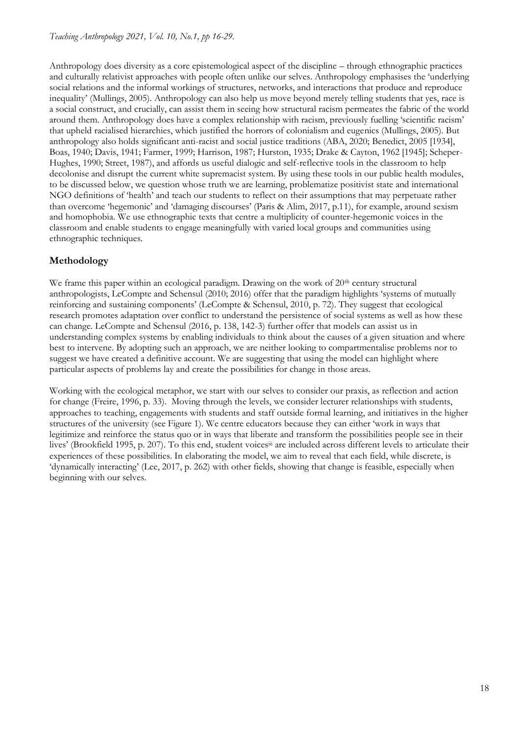Anthropology does diversity as a core epistemological aspect of the discipline – through ethnographic practices and culturally relativist approaches with people often unlike our selves. Anthropology emphasises the 'underlying social relations and the informal workings of structures, networks, and interactions that produce and reproduce inequality' (Mullings, 2005). Anthropology can also help us move beyond merely telling students that yes, race is a social construct, and crucially, can assist them in seeing how structural racism permeates the fabric of the world around them. Anthropology does have a complex relationship with racism, previously fuelling 'scientific racism' that upheld racialised hierarchies, which justified the horrors of colonialism and eugenics (Mullings, 2005). But anthropology also holds significant anti-racist and social justice traditions (ABA, 2020; Benedict, 2005 [1934], Boas, 1940; Davis, 1941; Farmer, 1999; Harrison, 1987; Hurston, 1935; Drake & Cayton, 1962 [1945]; Scheper-Hughes, 1990; Street, 1987), and affords us useful dialogic and self-reflective tools in the classroom to help decolonise and disrupt the current white supremacist system. By using these tools in our public health modules, to be discussed below, we question whose truth we are learning, problematize positivist state and international NGO definitions of 'health' and teach our students to reflect on their assumptions that may perpetuate rather than overcome 'hegemonic' and 'damaging discourses' (Paris & Alim, 2017, p.11), for example, around sexism and homophobia. We use ethnographic texts that centre a multiplicity of counter-hegemonic voices in the classroom and enable students to engage meaningfully with varied local groups and communities using ethnographic techniques.

## **Methodology**

We frame this paper within an ecological paradigm. Drawing on the work of  $20<sup>th</sup>$  century structural anthropologists, LeCompte and Schensul (2010; 2016) offer that the paradigm highlights 'systems of mutually reinforcing and sustaining components' (LeCompte & Schensul, 2010, p. 72). They suggest that ecological research promotes adaptation over conflict to understand the persistence of social systems as well as how these can change. LeCompte and Schensul (2016, p. 138, 142-3) further offer that models can assist us in understanding complex systems by enabling individuals to think about the causes of a given situation and where best to intervene. By adopting such an approach, we are neither looking to compartmentalise problems nor to suggest we have created a definitive account. We are suggesting that using the model can highlight where particular aspects of problems lay and create the possibilities for change in those areas.

Working with the ecological metaphor, we start with our selves to consider our praxis, as reflection and action for change (Freire, 1996, p. 33). Moving through the levels, we consider lecturer relationships with students, approaches to teaching, engagements with students and staff outside formal learning, and initiatives in the higher structures of the university (see Figure 1). We centre educators because they can either 'work in ways that legitimize and reinforce the status quo or in ways that liberate and transform the possibilities people see in their lives' (Brookfield 1995, p. 207). To this end, student voicesiii are included across different levels to articulate their experiences of these possibilities. In elaborating the model, we aim to reveal that each field, while discrete, is 'dynamically interacting' (Lee, 2017, p. 262) with other fields, showing that change is feasible, especially when beginning with our selves.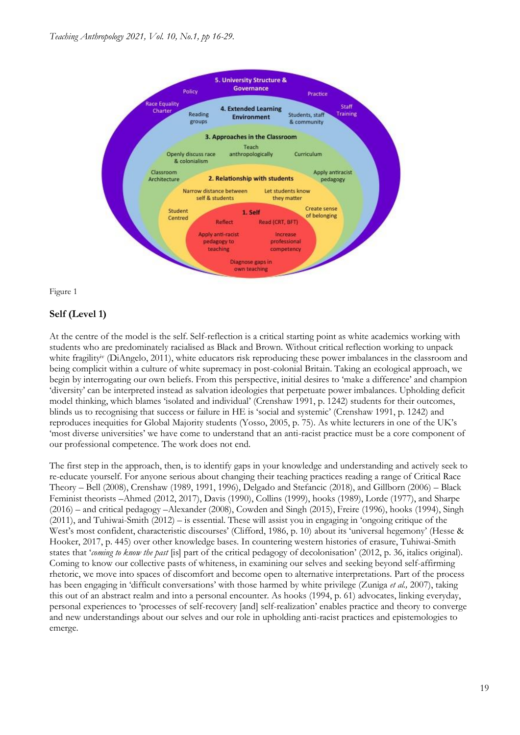

Figure 1

## **Self (Level 1)**

At the centre of the model is the self. Self-reflection is a critical starting point as white academics working with students who are predominately racialised as Black and Brown. Without critical reflection working to unpack white fragility<sup>iv</sup> (DiAngelo, 2011), white educators risk reproducing these power imbalances in the classroom and being complicit within a culture of white supremacy in post-colonial Britain. Taking an ecological approach, we begin by interrogating our own beliefs. From this perspective, initial desires to 'make a difference' and champion 'diversity' can be interpreted instead as salvation ideologies that perpetuate power imbalances. Upholding deficit model thinking, which blames 'isolated and individual' (Crenshaw 1991, p. 1242) students for their outcomes, blinds us to recognising that success or failure in HE is 'social and systemic' (Crenshaw 1991, p. 1242) and reproduces inequities for Global Majority students (Yosso, 2005, p. 75). As white lecturers in one of the UK's 'most diverse universities' we have come to understand that an anti-racist practice must be a core component of our professional competence. The work does not end.

The first step in the approach, then, is to identify gaps in your knowledge and understanding and actively seek to re-educate yourself. For anyone serious about changing their teaching practices reading a range of Critical Race Theory – Bell (2008), Crenshaw (1989, 1991, 1996), Delgado and Stefancic (2018), and Gillborn (2006) – Black Feminist theorists –Ahmed (2012, 2017), Davis (1990), Collins (1999), hooks (1989), Lorde (1977), and Sharpe (2016) – and critical pedagogy –Alexander (2008), Cowden and Singh (2015), Freire (1996), hooks (1994), Singh (2011), and Tuhiwai-Smith (2012) – is essential. These will assist you in engaging in 'ongoing critique of the West's most confident, characteristic discourses' (Clifford, 1986, p. 10) about its 'universal hegemony' (Hesse & Hooker, 2017, p. 445) over other knowledge bases. In countering western histories of erasure, Tuhiwai-Smith states that '*coming to know the past* [is] part of the critical pedagogy of decolonisation' (2012, p. 36, italics original). Coming to know our collective pasts of whiteness, in examining our selves and seeking beyond self-affirming rhetoric, we move into spaces of discomfort and become open to alternative interpretations. Part of the process has been engaging in 'difficult conversations' with those harmed by white privilege (Zuniga *et al.,* 2007), taking this out of an abstract realm and into a personal encounter. As hooks (1994, p. 61) advocates, linking everyday, personal experiences to 'processes of self-recovery [and] self-realization' enables practice and theory to converge and new understandings about our selves and our role in upholding anti-racist practices and epistemologies to emerge.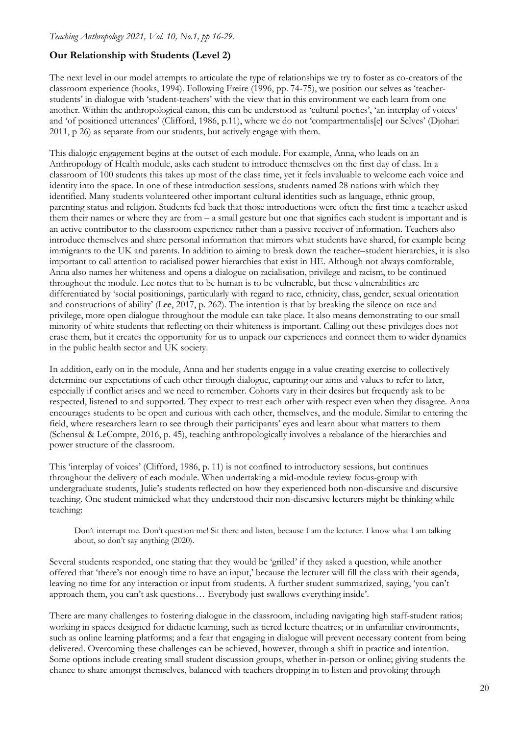## **Our Relationship with Students (Level 2)**

The next level in our model attempts to articulate the type of relationships we try to foster as co-creators of the classroom experience (hooks, 1994). Following Freire (1996, pp. 74-75), we position our selves as 'teacherstudents' in dialogue with 'student-teachers' with the view that in this environment we each learn from one another. Within the anthropological canon, this can be understood as 'cultural poetics', 'an interplay of voices' and 'of positioned utterances' (Clifford, 1986, p.11), where we do not 'compartmentalis[e] our Selves' (Djohari 2011, p 26) as separate from our students, but actively engage with them.

This dialogic engagement begins at the outset of each module. For example, Anna, who leads on an Anthropology of Health module, asks each student to introduce themselves on the first day of class. In a classroom of 100 students this takes up most of the class time, yet it feels invaluable to welcome each voice and identity into the space. In one of these introduction sessions, students named 28 nations with which they identified. Many students volunteered other important cultural identities such as language, ethnic group, parenting status and religion. Students fed back that those introductions were often the first time a teacher asked them their names or where they are from – a small gesture but one that signifies each student is important and is an active contributor to the classroom experience rather than a passive receiver of information. Teachers also introduce themselves and share personal information that mirrors what students have shared, for example being immigrants to the UK and parents. In addition to aiming to break down the teacher–student hierarchies, it is also important to call attention to racialised power hierarchies that exist in HE. Although not always comfortable, Anna also names her whiteness and opens a dialogue on racialisation, privilege and racism, to be continued throughout the module. Lee notes that to be human is to be vulnerable, but these vulnerabilities are differentiated by 'social positionings, particularly with regard to race, ethnicity, class, gender, sexual orientation and constructions of ability' (Lee, 2017, p. 262). The intention is that by breaking the silence on race and privilege, more open dialogue throughout the module can take place. It also means demonstrating to our small minority of white students that reflecting on their whiteness is important. Calling out these privileges does not erase them, but it creates the opportunity for us to unpack our experiences and connect them to wider dynamics in the public health sector and UK society.

In addition, early on in the module, Anna and her students engage in a value creating exercise to collectively determine our expectations of each other through dialogue, capturing our aims and values to refer to later, especially if conflict arises and we need to remember. Cohorts vary in their desires but frequently ask to be respected, listened to and supported. They expect to treat each other with respect even when they disagree. Anna encourages students to be open and curious with each other, themselves, and the module. Similar to entering the field, where researchers learn to see through their participants' eyes and learn about what matters to them (Schensul & LeCompte, 2016, p. 45), teaching anthropologically involves a rebalance of the hierarchies and power structure of the classroom.

This 'interplay of voices' (Clifford, 1986, p. 11) is not confined to introductory sessions, but continues throughout the delivery of each module. When undertaking a mid-module review focus-group with undergraduate students, Julie's students reflected on how they experienced both non-discursive and discursive teaching. One student mimicked what they understood their non-discursive lecturers might be thinking while teaching:

Don't interrupt me. Don't question me! Sit there and listen, because I am the lecturer. I know what I am talking about, so don't say anything (2020).

Several students responded, one stating that they would be 'grilled' if they asked a question, while another offered that 'there's not enough time to have an input,' because the lecturer will fill the class with their agenda, leaving no time for any interaction or input from students. A further student summarized, saying, 'you can't approach them, you can't ask questions… Everybody just swallows everything inside'.

There are many challenges to fostering dialogue in the classroom, including navigating high staff-student ratios; working in spaces designed for didactic learning, such as tiered lecture theatres; or in unfamiliar environments, such as online learning platforms; and a fear that engaging in dialogue will prevent necessary content from being delivered. Overcoming these challenges can be achieved, however, through a shift in practice and intention. Some options include creating small student discussion groups, whether in-person or online; giving students the chance to share amongst themselves, balanced with teachers dropping in to listen and provoking through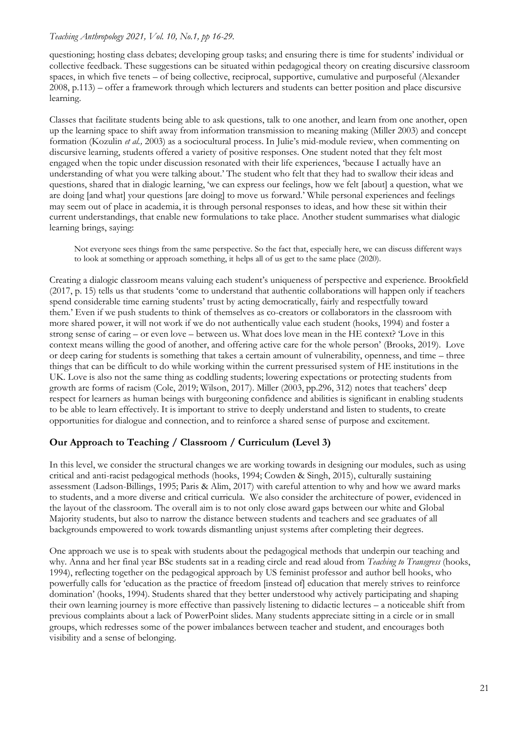questioning; hosting class debates; developing group tasks; and ensuring there is time for students' individual or collective feedback. These suggestions can be situated within pedagogical theory on creating discursive classroom spaces, in which five tenets – of being collective, reciprocal, supportive, cumulative and purposeful (Alexander 2008, p.113) – offer a framework through which lecturers and students can better position and place discursive learning.

Classes that facilitate students being able to ask questions, talk to one another, and learn from one another, open up the learning space to shift away from information transmission to meaning making (Miller 2003) and concept formation (Kozulin *et al.,* 2003) as a sociocultural process. In Julie's mid-module review, when commenting on discursive learning, students offered a variety of positive responses. One student noted that they felt most engaged when the topic under discussion resonated with their life experiences, 'because I actually have an understanding of what you were talking about.' The student who felt that they had to swallow their ideas and questions, shared that in dialogic learning, 'we can express our feelings, how we felt [about] a question, what we are doing [and what] your questions [are doing] to move us forward.' While personal experiences and feelings may seem out of place in academia, it is through personal responses to ideas, and how these sit within their current understandings, that enable new formulations to take place. Another student summarises what dialogic learning brings, saying:

Not everyone sees things from the same perspective. So the fact that, especially here, we can discuss different ways to look at something or approach something, it helps all of us get to the same place (2020).

Creating a dialogic classroom means valuing each student's uniqueness of perspective and experience. Brookfield (2017, p. 15) tells us that students 'come to understand that authentic collaborations will happen only if teachers spend considerable time earning students' trust by acting democratically, fairly and respectfully toward them.' Even if we push students to think of themselves as co-creators or collaborators in the classroom with more shared power, it will not work if we do not authentically value each student (hooks, 1994) and foster a strong sense of caring – or even love – between us. What does love mean in the HE context? Love in this context means willing the good of another, and offering active care for the whole person' (Brooks, 2019). Love or deep caring for students is something that takes a certain amount of vulnerability, openness, and time – three things that can be difficult to do while working within the current pressurised system of HE institutions in the UK. Love is also not the same thing as coddling students; lowering expectations or protecting students from growth are forms of racism (Cole, 2019; Wilson, 2017). Miller (2003, pp.296, 312) notes that teachers' deep respect for learners as human beings with burgeoning confidence and abilities is significant in enabling students to be able to learn effectively. It is important to strive to deeply understand and listen to students, to create opportunities for dialogue and connection, and to reinforce a shared sense of purpose and excitement.

## **Our Approach to Teaching / Classroom / Curriculum (Level 3)**

In this level, we consider the structural changes we are working towards in designing our modules, such as using critical and anti-racist pedagogical methods (hooks, 1994; Cowden & Singh, 2015), culturally sustaining assessment (Ladson-Billings, 1995; Paris & Alim, 2017) with careful attention to why and how we award marks to students, and a more diverse and critical curricula. We also consider the architecture of power, evidenced in the layout of the classroom. The overall aim is to not only close award gaps between our white and Global Majority students, but also to narrow the distance between students and teachers and see graduates of all backgrounds empowered to work towards dismantling unjust systems after completing their degrees.

One approach we use is to speak with students about the pedagogical methods that underpin our teaching and why. Anna and her final year BSc students sat in a reading circle and read aloud from *Teaching to Transgress* (hooks, 1994), reflecting together on the pedagogical approach by US feminist professor and author bell hooks, who powerfully calls for 'education as the practice of freedom [instead of] education that merely strives to reinforce domination' (hooks, 1994). Students shared that they better understood why actively participating and shaping their own learning journey is more effective than passively listening to didactic lectures – a noticeable shift from previous complaints about a lack of PowerPoint slides. Many students appreciate sitting in a circle or in small groups, which redresses some of the power imbalances between teacher and student, and encourages both visibility and a sense of belonging.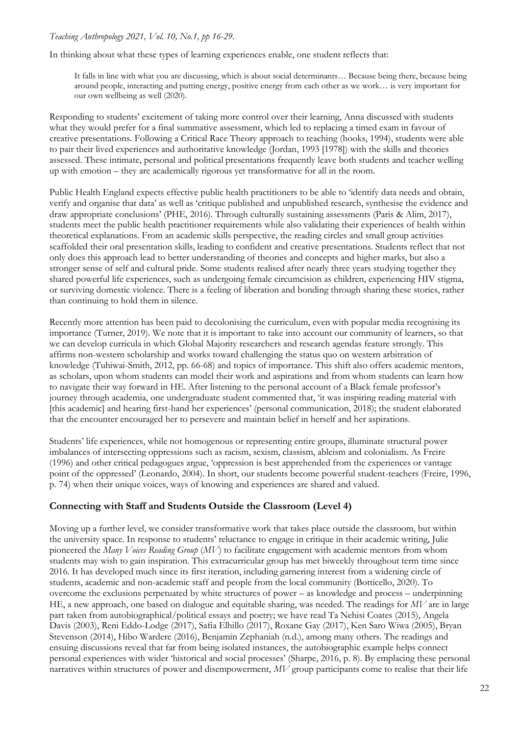In thinking about what these types of learning experiences enable, one student reflects that:

It falls in line with what you are discussing, which is about social determinants… Because being there, because being around people, interacting and putting energy, positive energy from each other as we work… is very important for our own wellbeing as well (2020).

Responding to students' excitement of taking more control over their learning, Anna discussed with students what they would prefer for a final summative assessment, which led to replacing a timed exam in favour of creative presentations. Following a Critical Race Theory approach to teaching (hooks, 1994), students were able to pair their lived experiences and authoritative knowledge (Jordan, 1993 [1978]) with the skills and theories assessed. These intimate, personal and political presentations frequently leave both students and teacher welling up with emotion – they are academically rigorous yet transformative for all in the room.

Public Health England expects effective public health practitioners to be able to 'identify data needs and obtain, verify and organise that data' as well as 'critique published and unpublished research, synthesise the evidence and draw appropriate conclusions' (PHE, 2016). Through culturally sustaining assessments (Paris & Alim, 2017), students meet the public health practitioner requirements while also validating their experiences of health within theoretical explanations. From an academic skills perspective, the reading circles and small group activities scaffolded their oral presentation skills, leading to confident and creative presentations. Students reflect that not only does this approach lead to better understanding of theories and concepts and higher marks, but also a stronger sense of self and cultural pride. Some students realised after nearly three years studying together they shared powerful life experiences, such as undergoing female circumcision as children, experiencing HIV stigma, or surviving domestic violence. There is a feeling of liberation and bonding through sharing these stories, rather than continuing to hold them in silence.

Recently more attention has been paid to decolonising the curriculum, even with popular media recognising its importance (Turner, 2019). We note that it is important to take into account our community of learners, so that we can develop curricula in which Global Majority researchers and research agendas feature strongly. This affirms non-western scholarship and works toward challenging the status quo on western arbitration of knowledge (Tuhiwai-Smith, 2012, pp. 66-68) and topics of importance. This shift also offers academic mentors, as scholars, upon whom students can model their work and aspirations and from whom students can learn how to navigate their way forward in HE. After listening to the personal account of a Black female professor's journey through academia, one undergraduate student commented that, 'it was inspiring reading material with [this academic] and hearing first-hand her experiences' (personal communication, 2018); the student elaborated that the encounter encouraged her to persevere and maintain belief in herself and her aspirations.

Students' life experiences, while not homogenous or representing entire groups, illuminate structural power imbalances of intersecting oppressions such as racism, sexism, classism, ableism and colonialism. As Freire (1996) and other critical pedagogues argue, 'oppression is best apprehended from the experiences or vantage point of the oppressed' (Leonardo, 2004). In short, our students become powerful student-teachers (Freire, 1996, p. 74) when their unique voices, ways of knowing and experiences are shared and valued.

## **Connecting with Staff and Students Outside the Classroom (Level 4)**

Moving up a further level, we consider transformative work that takes place outside the classroom, but within the university space. In response to students' reluctance to engage in critique in their academic writing, Julie pioneered the *Many Voices Reading Group* (*MV*) to facilitate engagement with academic mentors from whom students may wish to gain inspiration. This extracurricular group has met biweekly throughout term time since 2016. It has developed much since its first iteration, including garnering interest from a widening circle of students, academic and non-academic staff and people from the local community (Botticello, 2020). To overcome the exclusions perpetuated by white structures of power – as knowledge and process – underpinning HE, a new approach, one based on dialogue and equitable sharing, was needed. The readings for *MV* are in large part taken from autobiographical/political essays and poetry; we have read Ta Nehisi Coates (2015), Angela Davis (2003), Reni Eddo-Lodge (2017), Safia Elhillo (2017), Roxane Gay (2017), Ken Saro Wiwa (2005), Bryan Stevenson (2014), Hibo Wardere (2016), Benjamin Zephaniah (n.d.), among many others. The readings and ensuing discussions reveal that far from being isolated instances, the autobiographic example helps connect personal experiences with wider 'historical and social processes' (Sharpe, 2016, p. 8). By emplacing these personal narratives within structures of power and disempowerment, *MV* group participants come to realise that their life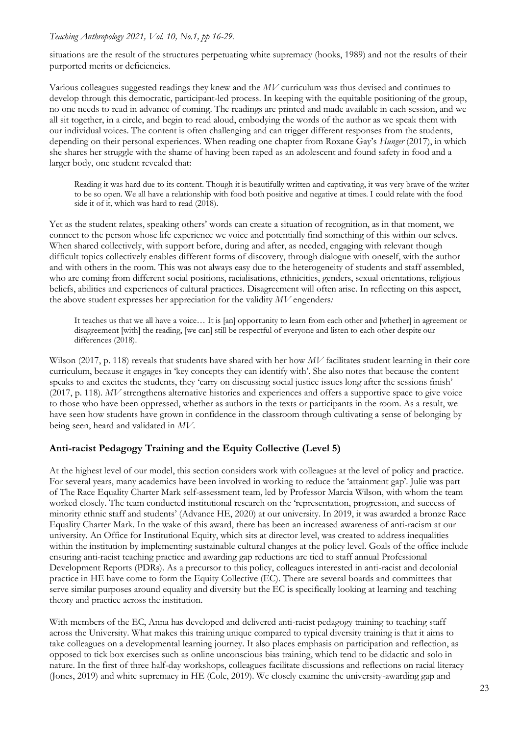situations are the result of the structures perpetuating white supremacy (hooks, 1989) and not the results of their purported merits or deficiencies.

Various colleagues suggested readings they knew and the *MV* curriculum was thus devised and continues to develop through this democratic, participant-led process. In keeping with the equitable positioning of the group, no one needs to read in advance of coming. The readings are printed and made available in each session, and we all sit together, in a circle, and begin to read aloud, embodying the words of the author as we speak them with our individual voices. The content is often challenging and can trigger different responses from the students, depending on their personal experiences. When reading one chapter from Roxane Gay's *Hunger* (2017), in which she shares her struggle with the shame of having been raped as an adolescent and found safety in food and a larger body, one student revealed that:

Reading it was hard due to its content. Though it is beautifully written and captivating, it was very brave of the writer to be so open. We all have a relationship with food both positive and negative at times. I could relate with the food side it of it, which was hard to read (2018).

Yet as the student relates, speaking others' words can create a situation of recognition, as in that moment, we connect to the person whose life experience we voice and potentially find something of this within our selves. When shared collectively, with support before, during and after, as needed, engaging with relevant though difficult topics collectively enables different forms of discovery, through dialogue with oneself, with the author and with others in the room. This was not always easy due to the heterogeneity of students and staff assembled, who are coming from different social positions, racialisations, ethnicities, genders, sexual orientations, religious beliefs, abilities and experiences of cultural practices. Disagreement will often arise. In reflecting on this aspect, the above student expresses her appreciation for the validity *MV* engenders*:*

It teaches us that we all have a voice… It is [an] opportunity to learn from each other and [whether] in agreement or disagreement [with] the reading, [we can] still be respectful of everyone and listen to each other despite our differences (2018).

Wilson (2017, p. 118) reveals that students have shared with her how MV facilitates student learning in their core curriculum, because it engages in 'key concepts they can identify with'. She also notes that because the content speaks to and excites the students, they 'carry on discussing social justice issues long after the sessions finish' (2017, p. 118). *MV* strengthens alternative histories and experiences and offers a supportive space to give voice to those who have been oppressed, whether as authors in the texts or participants in the room. As a result, we have seen how students have grown in confidence in the classroom through cultivating a sense of belonging by being seen, heard and validated in *MV*.

## **Anti-racist Pedagogy Training and the Equity Collective (Level 5)**

At the highest level of our model, this section considers work with colleagues at the level of policy and practice. For several years, many academics have been involved in working to reduce the 'attainment gap'. Julie was part of The Race Equality Charter Mark self-assessment team, led by Professor Marcia Wilson, with whom the team worked closely. The team conducted institutional research on the 'representation, progression, and success of minority ethnic staff and students' (Advance HE, 2020) at our university. In 2019, it was awarded a bronze Race Equality Charter Mark. In the wake of this award, there has been an increased awareness of anti-racism at our university. An Office for Institutional Equity, which sits at director level, was created to address inequalities within the institution by implementing sustainable cultural changes at the policy level. Goals of the office include ensuring anti-racist teaching practice and awarding gap reductions are tied to staff annual Professional Development Reports (PDRs). As a precursor to this policy, colleagues interested in anti-racist and decolonial practice in HE have come to form the Equity Collective (EC). There are several boards and committees that serve similar purposes around equality and diversity but the EC is specifically looking at learning and teaching theory and practice across the institution.

With members of the EC, Anna has developed and delivered anti-racist pedagogy training to teaching staff across the University. What makes this training unique compared to typical diversity training is that it aims to take colleagues on a developmental learning journey. It also places emphasis on participation and reflection, as opposed to tick box exercises such as online unconscious bias training, which tend to be didactic and solo in nature. In the first of three half-day workshops, colleagues facilitate discussions and reflections on racial literacy (Jones, 2019) and white supremacy in HE (Cole, 2019). We closely examine the university-awarding gap and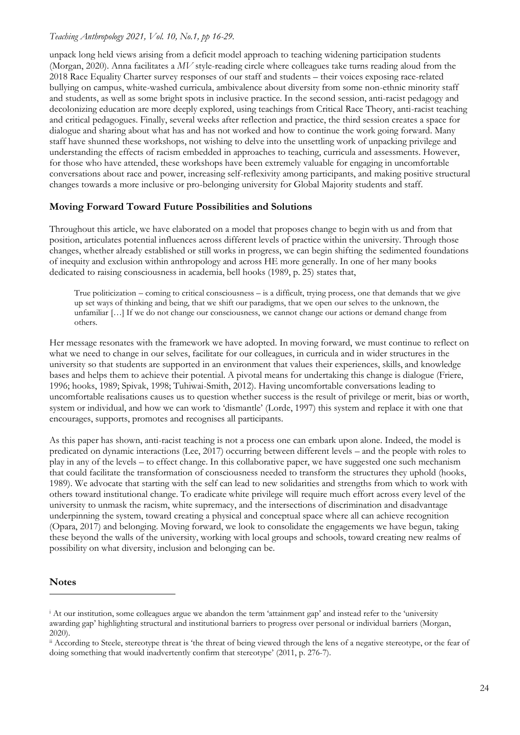unpack long held views arising from a deficit model approach to teaching widening participation students (Morgan, 2020). Anna facilitates a *MV* style-reading circle where colleagues take turns reading aloud from the 2018 Race Equality Charter survey responses of our staff and students – their voices exposing race-related bullying on campus, white-washed curricula, ambivalence about diversity from some non-ethnic minority staff and students, as well as some bright spots in inclusive practice. In the second session, anti-racist pedagogy and decolonizing education are more deeply explored, using teachings from Critical Race Theory, anti-racist teaching and critical pedagogues. Finally, several weeks after reflection and practice, the third session creates a space for dialogue and sharing about what has and has not worked and how to continue the work going forward. Many staff have shunned these workshops, not wishing to delve into the unsettling work of unpacking privilege and understanding the effects of racism embedded in approaches to teaching, curricula and assessments. However, for those who have attended, these workshops have been extremely valuable for engaging in uncomfortable conversations about race and power, increasing self-reflexivity among participants, and making positive structural changes towards a more inclusive or pro-belonging university for Global Majority students and staff.

## **Moving Forward Toward Future Possibilities and Solutions**

Throughout this article, we have elaborated on a model that proposes change to begin with us and from that position, articulates potential influences across different levels of practice within the university. Through those changes, whether already established or still works in progress, we can begin shifting the sedimented foundations of inequity and exclusion within anthropology and across HE more generally. In one of her many books dedicated to raising consciousness in academia, bell hooks (1989, p. 25) states that,

True politicization – coming to critical consciousness – is a difficult, trying process, one that demands that we give up set ways of thinking and being, that we shift our paradigms, that we open our selves to the unknown, the unfamiliar […] If we do not change our consciousness, we cannot change our actions or demand change from others.

Her message resonates with the framework we have adopted. In moving forward, we must continue to reflect on what we need to change in our selves, facilitate for our colleagues, in curricula and in wider structures in the university so that students are supported in an environment that values their experiences, skills, and knowledge bases and helps them to achieve their potential. A pivotal means for undertaking this change is dialogue (Friere, 1996; hooks, 1989; Spivak, 1998; Tuhiwai-Smith, 2012). Having uncomfortable conversations leading to uncomfortable realisations causes us to question whether success is the result of privilege or merit, bias or worth, system or individual, and how we can work to 'dismantle' (Lorde, 1997) this system and replace it with one that encourages, supports, promotes and recognises all participants.

As this paper has shown, anti-racist teaching is not a process one can embark upon alone. Indeed, the model is predicated on dynamic interactions (Lee, 2017) occurring between different levels – and the people with roles to play in any of the levels – to effect change. In this collaborative paper, we have suggested one such mechanism that could facilitate the transformation of consciousness needed to transform the structures they uphold (hooks, 1989). We advocate that starting with the self can lead to new solidarities and strengths from which to work with others toward institutional change. To eradicate white privilege will require much effort across every level of the university to unmask the racism, white supremacy, and the intersections of discrimination and disadvantage underpinning the system, toward creating a physical and conceptual space where all can achieve recognition (Opara, 2017) and belonging. Moving forward, we look to consolidate the engagements we have begun, taking these beyond the walls of the university, working with local groups and schools, toward creating new realms of possibility on what diversity, inclusion and belonging can be.

## **Notes**

<sup>i</sup> At our institution, some colleagues argue we abandon the term 'attainment gap' and instead refer to the 'university awarding gap' highlighting structural and institutional barriers to progress over personal or individual barriers (Morgan, 2020).

ii According to Steele, stereotype threat is 'the threat of being viewed through the lens of a negative stereotype, or the fear of doing something that would inadvertently confirm that stereotype' (2011, p. 276-7).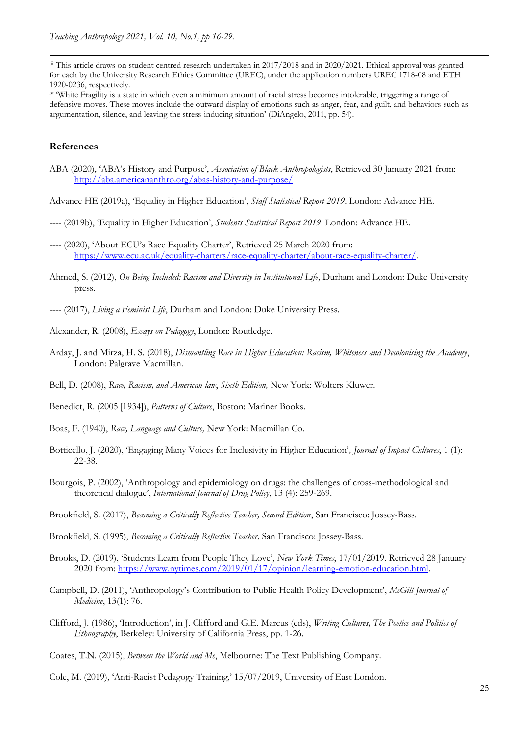iii This article draws on student centred research undertaken in 2017/2018 and in 2020/2021. Ethical approval was granted for each by the University Research Ethics Committee (UREC), under the application numbers UREC 1718-08 and ETH 1920-0236, respectively.

iv 'White Fragility is a state in which even a minimum amount of racial stress becomes intolerable, triggering a range of defensive moves. These moves include the outward display of emotions such as anger, fear, and guilt, and behaviors such as argumentation, silence, and leaving the stress-inducing situation' (DiAngelo, 2011, pp. 54).

#### **References**

- ABA (2020), 'ABA's History and Purpose', *Association of Black Anthropologists*, Retrieved 30 January 2021 from: <http://aba.americananthro.org/abas-history-and-purpose/>
- Advance HE (2019a), 'Equality in Higher Education', *Staff Statistical Report 2019*. London: Advance HE.
- ---- (2019b), 'Equality in Higher Education', *Students Statistical Report 2019*. London: Advance HE.
- ---- (2020), 'About ECU's Race Equality Charter', Retrieved 25 March 2020 from: [https://www.ecu.ac.uk/equality-charters/race-equality-charter/about-race-equality-charter/.](https://www.ecu.ac.uk/equality-charters/race-equality-charter/about-race-equality-charter/)
- Ahmed, S. (2012), *On Being Included: Racism and Diversity in Institutional Life*, Durham and London: Duke University press.
- ---- (2017), *Living a Feminist Life*, Durham and London: Duke University Press.
- Alexander, R. (2008), *Essays on Pedagogy*, London: Routledge.
- Arday, J. and Mirza, H. S. (2018), *Dismantling Race in Higher Education: Racism, Whiteness and Decolonising the Academy*, London: Palgrave Macmillan.
- Bell, D. (2008), *Race, Racism, and American law*, *Sixth Edition,* New York: Wolters Kluwer.
- Benedict, R. (2005 [1934]), *Patterns of Culture*, Boston: Mariner Books.
- Boas, F. (1940), *Race, Language and Culture,* New York: Macmillan Co.
- Botticello, J. (2020), 'Engaging Many Voices for Inclusivity in Higher Education'*, Journal of Impact Cultures*, 1 (1): 22-38.
- Bourgois, P. (2002), 'Anthropology and epidemiology on drugs: the challenges of cross-methodological and theoretical dialogue', *International Journal of Drug Policy*, 13 (4): 259-269.
- Brookfield, S. (2017), *Becoming a Critically Reflective Teacher, Second Edition*, San Francisco: Jossey-Bass.
- Brookfield, S. (1995), *Becoming a Critically Reflective Teacher,* San Francisco: Jossey-Bass.
- Brooks, D. (2019), 'Students Learn from People They Love', *New York Times*, 17/01/2019. Retrieved 28 January 2020 from: [https://www.nytimes.com/2019/01/17/opinion/learning-emotion-education.html.](https://www.nytimes.com/2019/01/17/opinion/learning-emotion-education.html)
- Campbell, D. (2011), 'Anthropology's Contribution to Public Health Policy Development', *McGill Journal of Medicine*, 13(1): 76.
- Clifford, J. (1986), 'Introduction', in J. Clifford and G.E. Marcus (eds), *Writing Cultures, The Poetics and Politics of Ethnography*, Berkeley: University of California Press, pp. 1-26.
- Coates, T.N. (2015), *Between the World and Me*, Melbourne: The Text Publishing Company.
- Cole, M. (2019), 'Anti-Racist Pedagogy Training,' 15/07/2019, University of East London.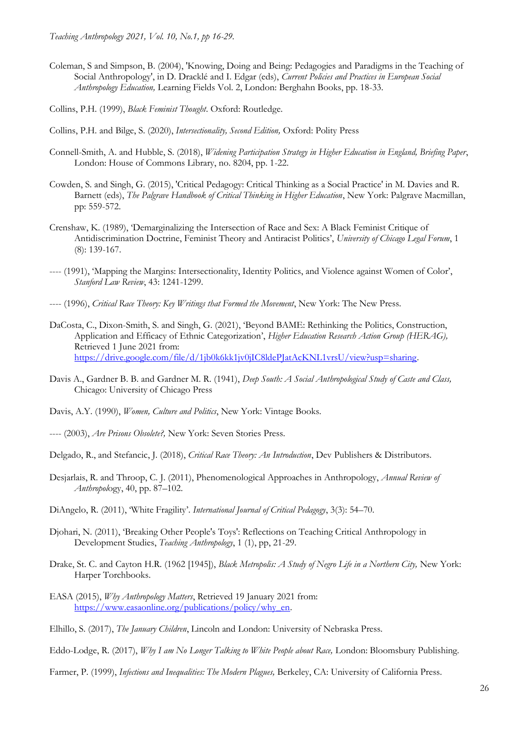- Coleman, S and Simpson, B. (2004), 'Knowing, Doing and Being: Pedagogies and Paradigms in the Teaching of Social Anthropology', in D. Dracklé and I. Edgar (eds), *Current Policies and Practices in European Social Anthropology Education,* Learning Fields Vol. 2, London: Berghahn Books, pp. 18-33.
- Collins, P.H. (1999), *Black Feminist Thought*. Oxford: Routledge.
- Collins, P.H. and Bilge, S. (2020), *Intersectionality, Second Edition,* Oxford: Polity Press
- Connell-Smith, A. and Hubble, S. (2018), *Widening Participation Strategy in Higher Education in England, Briefing Paper*, London: House of Commons Library, no. 8204, pp. 1-22.
- Cowden, S. and Singh, G. (2015), 'Critical Pedagogy: Critical Thinking as a Social Practice' in M. Davies and R. Barnett (eds), *The Palgrave Handbook of Critical Thinking in Higher Education*, New York: Palgrave Macmillan, pp: 559-572.
- Crenshaw, K. (1989), 'Demarginalizing the Intersection of Race and Sex: A Black Feminist Critique of Antidiscrimination Doctrine, Feminist Theory and Antiracist Politics', *University of Chicago Legal Forum*, 1 (8): 139-167.
- ---- (1991), 'Mapping the Margins: Intersectionality, Identity Politics, and Violence against Women of Color', *Stanford Law Review*, 43: 1241-1299.
- ---- (1996), *Critical Race Theory: Key Writings that Formed the Movement*, New York: The New Press.
- DaCosta, C., Dixon-Smith, S. and Singh, G. (2021), 'Beyond BAME: Rethinking the Politics, Construction, Application and Efficacy of Ethnic Categorization', *Higher Education Research Action Group (HERAG),*  Retrieved 1 June 2021 from: [https://drive.google.com/file/d/1jb0k6kk1jv0jIC8ldePJatAcKNL1vrsU/view?usp=sharing.](https://drive.google.com/file/d/1jb0k6kk1jv0jIC8ldePJatAcKNL1vrsU/view?usp=sharing)
- Davis A., Gardner B. B. and Gardner M. R. (1941), *Deep South: A Social Anthropological Study of Caste and Class,*  Chicago: University of Chicago Press
- Davis, A.Y. (1990), *Women, Culture and Politics*, New York: Vintage Books.
- ---- (2003), *Are Prisons Obsolete?,* New York: Seven Stories Press.
- Delgado, R., and Stefancic, J. (2018), *Critical Race Theory: An Introduction*, Dev Publishers & Distributors.
- Desjarlais, R. and Throop, C. J. (2011), Phenomenological Approaches in Anthropology, *Annual Review of Anthropol*ogy, 40, pp. 87–102.
- DiAngelo, R. (2011), 'White Fragility'. *International Journal of Critical Pedagogy*, 3(3): 54–70.
- Djohari, N. (2011), 'Breaking Other People's Toys': Reflections on Teaching Critical Anthropology in Development Studies, *Teaching Anthropology*, 1 (1), pp, 21-29.
- Drake, St. C. and Cayton H.R. (1962 [1945]), *Black Metropolis: A Study of Negro Life in a Northern City,* New York: Harper Torchbooks.
- EASA (2015), *Why Anthropology Matters*, Retrieved 19 January 2021 from: [https://www.easaonline.org/publications/policy/why\\_en.](https://www.easaonline.org/publications/policy/why_en)
- Elhillo, S. (2017), *The January Children*, Lincoln and London: University of Nebraska Press.

Eddo-Lodge, R. (2017), *Why I am No Longer Talking to White People about Race,* London: Bloomsbury Publishing.

Farmer, P. (1999), *Infections and Inequalities: The Modern Plagues,* Berkeley, CA: University of California Press.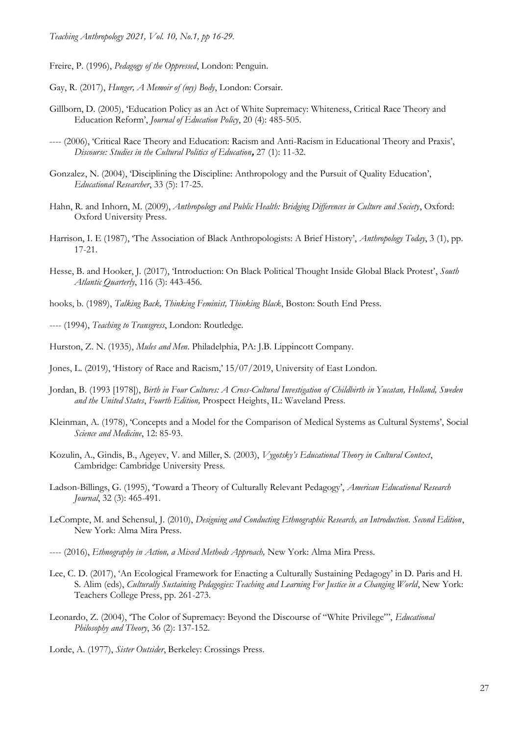Freire, P. (1996), *Pedagogy of the Oppressed*, London: Penguin.

- Gay, R. (2017), *Hunger, A Memoir of (my) Body*, London: Corsair.
- Gillborn, D. (2005), 'Education Policy as an Act of White Supremacy: Whiteness, Critical Race Theory and Education Reform', *Journal of Education Policy*, 20 (4): 485-505.
- ---- (2006), 'Critical Race Theory and Education: Racism and Anti-Racism in Educational Theory and Praxis', *Discourse: Studies in the Cultural Politics of Education***,** 27 (1): 11-32.
- Gonzalez, N. (2004), 'Disciplining the Discipline: Anthropology and the Pursuit of Quality Education', *Educational Researcher*, 33 (5): 17-25.
- Hahn, R. and Inhorn, M. (2009), *Anthropology and Public Health: Bridging Differences in Culture and Society*, Oxford: Oxford University Press.
- Harrison, I. E (1987), 'The Association of Black Anthropologists: A Brief History', *Anthropology Today*, 3 (1), pp. 17-21.
- Hesse, B. and Hooker, J. (2017), 'Introduction: On Black Political Thought Inside Global Black Protest', *South Atlantic Quarterly*, 116 (3): 443-456.
- hooks, b. (1989), *Talking Back, Thinking Feminist, Thinking Black*, Boston: South End Press.
- ---- (1994), *Teaching to Transgress*, London: Routledge.
- Hurston, Z. N. (1935), *Mules and Men*. Philadelphia, PA: J.B. Lippincott Company.
- Jones, L. (2019), 'History of Race and Racism,' 15/07/2019, University of East London.
- Jordan, B. (1993 [1978]), *Birth in Four Cultures: A Cross-Cultural Investigation of Childbirth in Yucatan, Holland, Sweden and the United States*, *Fourth Edition,* Prospect Heights, IL: Waveland Press.
- Kleinman, A. (1978), 'Concepts and a Model for the Comparison of Medical Systems as Cultural Systems', Social *Science and Medicine*, 12: 85-93.
- Kozulin, A., Gindis, B., Ageyev, V. and Miller, S. (2003), *Vygotsky's Educational Theory in Cultural Context*, Cambridge: Cambridge University Press.
- Ladson-Billings, G. (1995), 'Toward a Theory of Culturally Relevant Pedagogy', *American Educational Research Journal*, 32 (3): 465-491.
- LeCompte, M. and Schensul, J. (2010), *Designing and Conducting Ethnographic Research, an Introduction. Second Edition*, New York: Alma Mira Press.
- ---- (2016), *Ethnography in Action, a Mixed Methods Approach,* New York: Alma Mira Press.
- Lee, C. D. (2017), 'An Ecological Framework for Enacting a Culturally Sustaining Pedagogy' in D. Paris and H. S. Alim (eds), *Culturally Sustaining Pedagogies: Teaching and Learning For Justice in a Changing World*, New York: Teachers College Press, pp. 261-273.
- Leonardo, Z. (2004), 'The Color of Supremacy: Beyond the Discourse of "White Privilege"', *Educational Philosophy and Theory*, 36 (2): 137-152.
- Lorde, A. (1977), *Sister Outsider*, Berkeley: Crossings Press.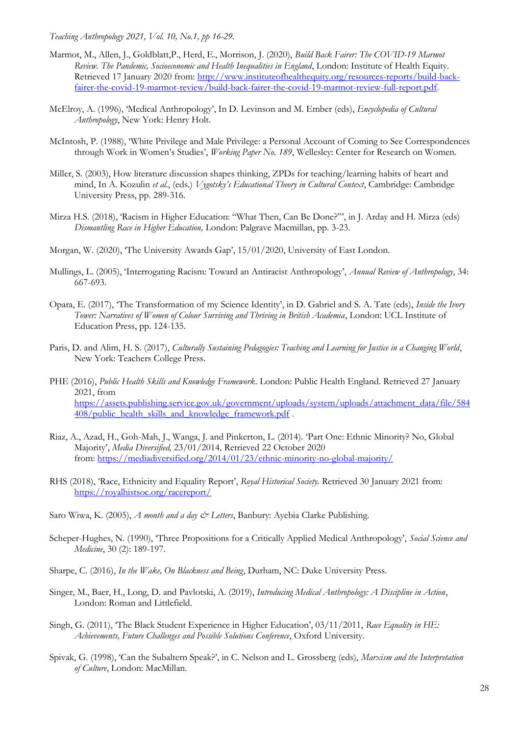- Marmot, M., Allen, J., Goldblatt,P., Herd, E., Morrison, J. (2020), *Build Back Fairer: The COVID-19 Marmot Review. The Pandemic, Socioeconomic and Health Inequalities in England*, London: Institute of Health Equity. Retrieved 17 January 2020 from: [http://www.instituteofhealthequity.org/resources-reports/build-back](http://www.instituteofhealthequity.org/resources-reports/build-back-fairer-the-covid-19-marmot-review/build-back-fairer-the-covid-19-marmot-review-full-report.pdf)[fairer-the-covid-19-marmot-review/build-back-fairer-the-covid-19-marmot-review-full-report.pdf.](http://www.instituteofhealthequity.org/resources-reports/build-back-fairer-the-covid-19-marmot-review/build-back-fairer-the-covid-19-marmot-review-full-report.pdf)
- McElroy, A. (1996), 'Medical Anthropology', In D. Levinson and M. Ember (eds), *Encyclopedia of Cultural Anthropology*, New York: Henry Holt.
- McIntosh, P. (1988), 'White Privilege and Male Privilege: a Personal Account of Coming to See Correspondences through Work in Women's Studies', *Working Paper No. 189*, Wellesley: Center for Research on Women.
- Miller, S. (2003), How literature discussion shapes thinking, ZPDs for teaching/learning habits of heart and mind, In A. Kozulin *et al*., (eds.) *Vygotsky's Educational Theory in Cultural Context*, Cambridge: Cambridge University Press, pp. 289-316.
- Mirza H.S. (2018), 'Racism in Higher Education: "What Then, Can Be Done?"', in J. Arday and H. Mirza (eds) *Dismantling Race in Higher Education,* London: Palgrave Macmillan, pp. 3-23.
- Morgan, W. (2020), 'The University Awards Gap', 15/01/2020, University of East London.
- Mullings, L. (2005), 'Interrogating Racism: Toward an Antiracist Anthropology', *Annual Review of Anthropology*, 34: 667-693.
- Opara, E. (2017), 'The Transformation of my Science Identity', in D. Gabriel and S. A. Tate (eds), *Inside the Ivory Tower: Narratives of Women of Colour Surviving and Thriving in British Academia*, London: UCL Institute of Education Press, pp. 124-135.
- Paris, D. and Alim, H. S. (2017), *Culturally Sustaining Pedagogies: Teaching and Learning for Justice in a Changing World*, New York: Teachers College Press.
- PHE (2016), *Public Health Skills and Knowledge Framework*. London: Public Health England. Retrieved 27 January 2021, from [https://assets.publishing.service.gov.uk/government/uploads/system/uploads/attachment\\_data/file/584](https://assets.publishing.service.gov.uk/government/uploads/system/uploads/attachment_data/file/584408/public_health_skills_and_knowledge_framework.pdf) [408/public\\_health\\_skills\\_and\\_knowledge\\_framework.pdf](https://assets.publishing.service.gov.uk/government/uploads/system/uploads/attachment_data/file/584408/public_health_skills_and_knowledge_framework.pdf) .
- Riaz, A., Azad, H., Goh-Mah, J., Wanga, J. and Pinkerton, L. (2014). 'Part One: Ethnic Minority? No, Global Majority', *Media Diversified,* 23/01/2014*,* Retrieved 22 October 2020 from: <https://mediadiversified.org/2014/01/23/ethnic-minority-no-global-majority/>
- RHS (2018), 'Race, Ethnicity and Equality Report', *Royal Historical Society.* Retrieved 30 January 2021 from: <https://royalhistsoc.org/racereport/>
- Saro Wiwa, K. (2005), *A month and a day & Letters*, Banbury: Ayebia Clarke Publishing.
- Scheper-Hughes, N. (1990), 'Three Propositions for a Critically Applied Medical Anthropology', *Social Science and Medicine*, 30 (2): 189-197.
- Sharpe, C. (2016), *In the Wake, On Blackness and Being*, Durham, NC: Duke University Press.
- Singer, M., Baer, H., Long, D. and Pavlotski, A. (2019), *Introducing Medical Anthropology: A Discipline in Action*, London: Roman and Littlefield.
- Singh, G. (2011), 'The Black Student Experience in Higher Education', 03/11/2011, *Race Equality in HE: Achievements, Future Challenges and Possible Solutions Conference*, Oxford University.
- Spivak, G. (1998), 'Can the Subaltern Speak?', in C. Nelson and L. Grossberg (eds), *Marxism and the Interpretation of Culture*, London: MacMillan.